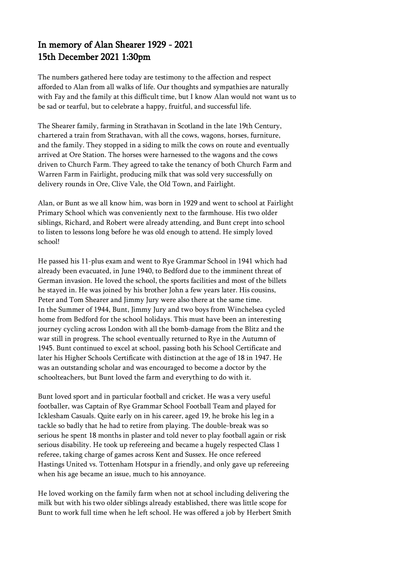## In memory of Alan Shearer 1929 - 2021 15th December 2021 1:30pm

The numbers gathered here today are testimony to the affection and respect afforded to Alan from all walks of life. Our thoughts and sympathies are naturally with Fay and the family at this difficult time, but I know Alan would not want us to be sad or tearful, but to celebrate a happy, fruitful, and successful life.

The Shearer family, farming in Strathavan in Scotland in the late 19th Century, chartered a train from Strathavan, with all the cows, wagons, horses, furniture, and the family. They stopped in a siding to milk the cows on route and eventually arrived at Ore Station. The horses were harnessed to the wagons and the cows driven to Church Farm. They agreed to take the tenancy of both Church Farm and Warren Farm in Fairlight, producing milk that was sold very successfully on delivery rounds in Ore, Clive Vale, the Old Town, and Fairlight.

Alan, or Bunt as we all know him, was born in 1929 and went to school at Fairlight Primary School which was conveniently next to the farmhouse. His two older siblings, Richard, and Robert were already attending, and Bunt crept into school to listen to lessons long before he was old enough to attend. He simply loved school!

He passed his 11-plus exam and went to Rye Grammar School in 1941 which had already been evacuated, in June 1940, to Bedford due to the imminent threat of German invasion. He loved the school, the sports facilities and most of the billets he stayed in. He was joined by his brother John a few years later. His cousins, Peter and Tom Shearer and Jimmy Jury were also there at the same time. In the Summer of 1944, Bunt, Jimmy Jury and two boys from Winchelsea cycled home from Bedford for the school holidays. This must have been an interesting journey cycling across London with all the bomb-damage from the Blitz and the war still in progress. The school eventually returned to Rye in the Autumn of 1945. Bunt continued to excel at school, passing both his School Certificate and later his Higher Schools Certificate with distinction at the age of 18 in 1947. He was an outstanding scholar and was encouraged to become a doctor by the schoolteachers, but Bunt loved the farm and everything to do with it.

Bunt loved sport and in particular football and cricket. He was a very useful footballer, was Captain of Rye Grammar School Football Team and played for Icklesham Casuals. Quite early on in his career, aged 19, he broke his leg in a tackle so badly that he had to retire from playing. The double-break was so serious he spent 18 months in plaster and told never to play football again or risk serious disability. He took up refereeing and became a hugely respected Class 1 referee, taking charge of games across Kent and Sussex. He once refereed Hastings United vs. Tottenham Hotspur in a friendly, and only gave up refereeing when his age became an issue, much to his annoyance.

He loved working on the family farm when not at school including delivering the milk but with his two older siblings already established, there was little scope for Bunt to work full time when he left school. He was offered a job by Herbert Smith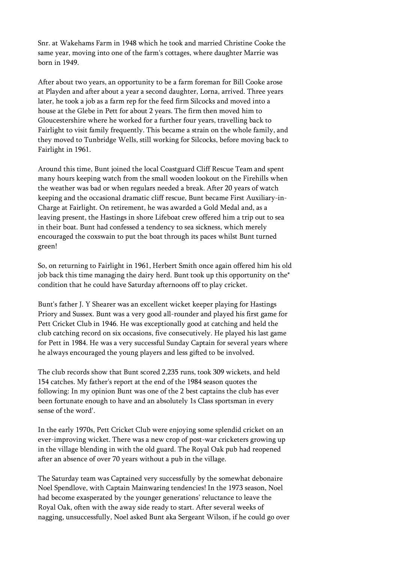Snr. at Wakehams Farm in 1948 which he took and married Christine Cooke the same year, moving into one of the farm's cottages, where daughter Marrie was born in 1949.

After about two years, an opportunity to be a farm foreman for Bill Cooke arose at Playden and after about a year a second daughter, Lorna, arrived. Three years later, he took a job as a farm rep for the feed firm Silcocks and moved into a house at the Glebe in Pett for about 2 years. The firm then moved him to Gloucestershire where he worked for a further four years, travelling back to Fairlight to visit family frequently. This became a strain on the whole family, and they moved to Tunbridge Wells, still working for Silcocks, before moving back to Fairlight in 1961.

Around this time, Bunt joined the local Coastguard Cliff Rescue Team and spent many hours keeping watch from the small wooden lookout on the Firehills when the weather was bad or when regulars needed a break. After 20 years of watch keeping and the occasional dramatic cliff rescue, Bunt became First Auxiliary-in-Charge at Fairlight. On retirement, he was awarded a Gold Medal and, as a leaving present, the Hastings in shore Lifeboat crew offered him a trip out to sea in their boat. Bunt had confessed a tendency to sea sickness, which merely encouraged the coxswain to put the boat through its paces whilst Bunt turned green!

So, on returning to Fairlight in 1961, Herbert Smith once again offered him his old job back this time managing the dairy herd. Bunt took up this opportunity on the\* condition that he could have Saturday afternoons off to play cricket.

Bunt's father J. Y Shearer was an excellent wicket keeper playing for Hastings Priory and Sussex. Bunt was a very good all-rounder and played his first game for Pett Cricket Club in 1946. He was exceptionally good at catching and held the club catching record on six occasions, five consecutively. He played his last game for Pett in 1984. He was a very successful Sunday Captain for several years where he always encouraged the young players and less gifted to be involved.

The club records show that Bunt scored 2,235 runs, took 309 wickets, and held 154 catches. My father's report at the end of the 1984 season quotes the following: In my opinion Bunt was one of the 2 best captains the club has ever been fortunate enough to have and an absolutely 1s Class sportsman in every sense of the word'.

In the early 1970s, Pett Cricket Club were enjoying some splendid cricket on an ever-improving wicket. There was a new crop of post-war cricketers growing up in the village blending in with the old guard. The Royal Oak pub had reopened after an absence of over 70 years without a pub in the village.

The Saturday team was Captained very successfully by the somewhat debonaire Noel Spendlove, with Captain Mainwaring tendencies! In the 1973 season, Noel had become exasperated by the younger generations' reluctance to leave the Royal Oak, often with the away side ready to start. After several weeks of nagging, unsuccessfully, Noel asked Bunt aka Sergeant Wilson, if he could go over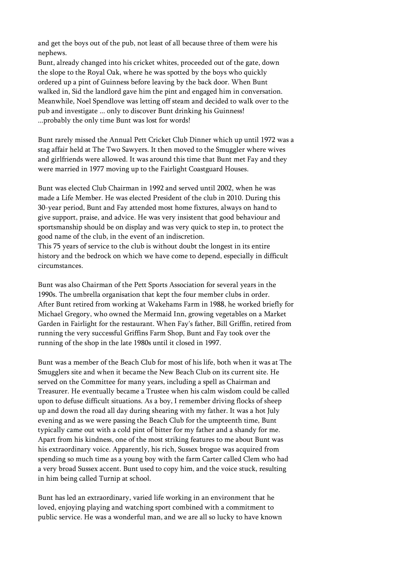and get the boys out of the pub, not least of all because three of them were his nephews.

Bunt, already changed into his cricket whites, proceeded out of the gate, down the slope to the Royal Oak, where he was spotted by the boys who quickly ordered up a pint of Guinness before leaving by the back door. When Bunt walked in, Sid the landlord gave him the pint and engaged him in conversation. Meanwhile, Noel Spendlove was letting off steam and decided to walk over to the pub and investigate ... only to discover Bunt drinking his Guinness! ...probably the only time Bunt was lost for words!

Bunt rarely missed the Annual Pett Cricket Club Dinner which up until 1972 was a stag affair held at The Two Sawyers. It then moved to the Smuggler where wives and girlfriends were allowed. It was around this time that Bunt met Fay and they were married in 1977 moving up to the Fairlight Coastguard Houses.

Bunt was elected Club Chairman in 1992 and served until 2002, when he was made a Life Member. He was elected President of the club in 2010. During this 30-year period, Bunt and Fay attended most home fixtures, always on hand to give support, praise, and advice. He was very insistent that good behaviour and sportsmanship should be on display and was very quick to step in, to protect the good name of the club, in the event of an indiscretion.

This 75 years of service to the club is without doubt the longest in its entire history and the bedrock on which we have come to depend, especially in difficult circumstances.

Bunt was also Chairman of the Pett Sports Association for several years in the 1990s. The umbrella organisation that kept the four member clubs in order. After Bunt retired from working at Wakehams Farm in 1988, he worked briefly for Michael Gregory, who owned the Mermaid Inn, growing vegetables on a Market Garden in Fairlight for the restaurant. When Fay's father, Bill Griffin, retired from running the very successful Griffins Farm Shop, Bunt and Fay took over the running of the shop in the late 1980s until it closed in 1997.

Bunt was a member of the Beach Club for most of his life, both when it was at The Smugglers site and when it became the New Beach Club on its current site. He served on the Committee for many years, including a spell as Chairman and Treasurer. He eventually became a Trustee when his calm wisdom could be called upon to defuse difficult situations. As a boy, I remember driving flocks of sheep up and down the road all day during shearing with my father. It was a hot July evening and as we were passing the Beach Club for the umpteenth time, Bunt typically came out with a cold pint of bitter for my father and a shandy for me. Apart from his kindness, one of the most striking features to me about Bunt was his extraordinary voice. Apparently, his rich, Sussex brogue was acquired from spending so much time as a young boy with the farm Carter called Clem who had a very broad Sussex accent. Bunt used to copy him, and the voice stuck, resulting in him being called Turnip at school.

Bunt has led an extraordinary, varied life working in an environment that he loved, enjoying playing and watching sport combined with a commitment to public service. He was a wonderful man, and we are all so lucky to have known